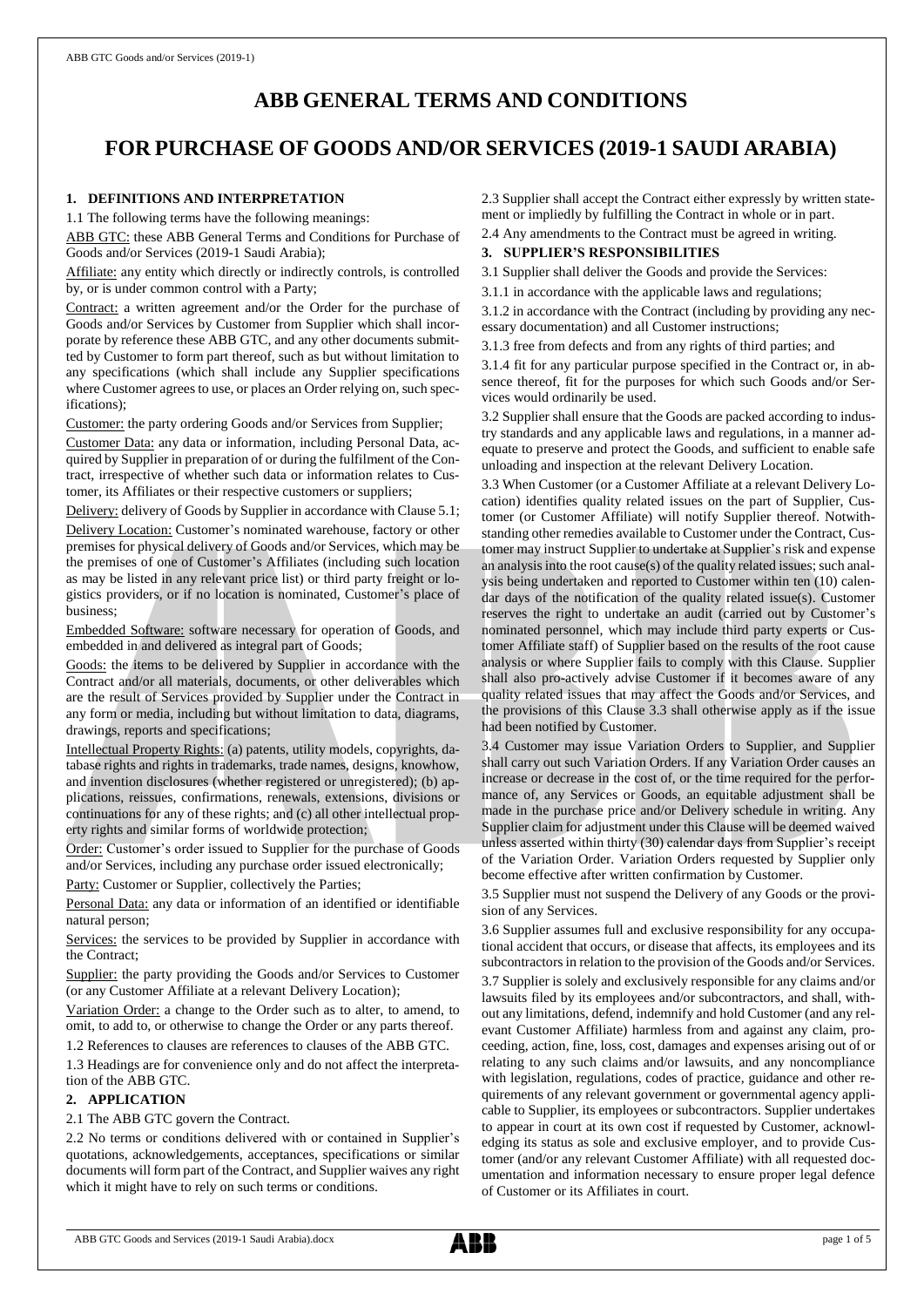# **ABB GENERAL TERMS AND CONDITIONS**

# **FOR PURCHASE OF GOODS AND/OR SERVICES (2019-1 SAUDI ARABIA)**

## **1. DEFINITIONS AND INTERPRETATION**

1.1 The following terms have the following meanings:

ABB GTC: these ABB General Terms and Conditions for Purchase of Goods and/or Services (2019-1 Saudi Arabia);

Affiliate: any entity which directly or indirectly controls, is controlled by, or is under common control with a Party;

Contract: a written agreement and/or the Order for the purchase of Goods and/or Services by Customer from Supplier which shall incorporate by reference these ABB GTC, and any other documents submitted by Customer to form part thereof, such as but without limitation to any specifications (which shall include any Supplier specifications where Customer agrees to use, or places an Order relying on, such specifications);

Customer: the party ordering Goods and/or Services from Supplier;

Customer Data: any data or information, including Personal Data, acquired by Supplier in preparation of or during the fulfilment of the Contract, irrespective of whether such data or information relates to Customer, its Affiliates or their respective customers or suppliers;

Delivery: delivery of Goods by Supplier in accordance with Clause 5.1; Delivery Location: Customer's nominated warehouse, factory or other premises for physical delivery of Goods and/or Services, which may be the premises of one of Customer's Affiliates (including such location as may be listed in any relevant price list) or third party freight or logistics providers, or if no location is nominated, Customer's place of business;

Embedded Software: software necessary for operation of Goods, and embedded in and delivered as integral part of Goods;

Goods: the items to be delivered by Supplier in accordance with the Contract and/or all materials, documents, or other deliverables which are the result of Services provided by Supplier under the Contract in any form or media, including but without limitation to data, diagrams, drawings, reports and specifications;

Intellectual Property Rights: (a) patents, utility models, copyrights, database rights and rights in trademarks, trade names, designs, knowhow, and invention disclosures (whether registered or unregistered); (b) applications, reissues, confirmations, renewals, extensions, divisions or continuations for any of these rights; and (c) all other intellectual property rights and similar forms of worldwide protection;

Order: Customer's order issued to Supplier for the purchase of Goods and/or Services, including any purchase order issued electronically;

Party: Customer or Supplier, collectively the Parties;

Personal Data: any data or information of an identified or identifiable natural person;

Services: the services to be provided by Supplier in accordance with the Contract;

Supplier: the party providing the Goods and/or Services to Customer (or any Customer Affiliate at a relevant Delivery Location);

Variation Order: a change to the Order such as to alter, to amend, to omit, to add to, or otherwise to change the Order or any parts thereof.

1.2 References to clauses are references to clauses of the ABB GTC.

1.3 Headings are for convenience only and do not affect the interpretation of the ABB GTC.

# **2. APPLICATION**

## 2.1 The ABB GTC govern the Contract.

2.2 No terms or conditions delivered with or contained in Supplier's quotations, acknowledgements, acceptances, specifications or similar documents will form part of the Contract, and Supplier waives any right which it might have to rely on such terms or conditions.

2.3 Supplier shall accept the Contract either expressly by written statement or impliedly by fulfilling the Contract in whole or in part.

2.4 Any amendments to the Contract must be agreed in writing.

# **3. SUPPLIER'S RESPONSIBILITIES**

3.1 Supplier shall deliver the Goods and provide the Services:

3.1.1 in accordance with the applicable laws and regulations;

3.1.2 in accordance with the Contract (including by providing any necessary documentation) and all Customer instructions;

3.1.3 free from defects and from any rights of third parties; and

3.1.4 fit for any particular purpose specified in the Contract or, in absence thereof, fit for the purposes for which such Goods and/or Services would ordinarily be used.

3.2 Supplier shall ensure that the Goods are packed according to industry standards and any applicable laws and regulations, in a manner adequate to preserve and protect the Goods, and sufficient to enable safe unloading and inspection at the relevant Delivery Location.

3.3 When Customer (or a Customer Affiliate at a relevant Delivery Location) identifies quality related issues on the part of Supplier, Customer (or Customer Affiliate) will notify Supplier thereof. Notwithstanding other remedies available to Customer under the Contract, Customer may instruct Supplier to undertake at Supplier's risk and expense an analysis into the root cause(s) of the quality related issues; such analysis being undertaken and reported to Customer within ten (10) calendar days of the notification of the quality related issue(s). Customer reserves the right to undertake an audit (carried out by Customer's nominated personnel, which may include third party experts or Customer Affiliate staff) of Supplier based on the results of the root cause analysis or where Supplier fails to comply with this Clause. Supplier shall also pro-actively advise Customer if it becomes aware of any quality related issues that may affect the Goods and/or Services, and the provisions of this Clause 3.3 shall otherwise apply as if the issue had been notified by Customer.

3.4 Customer may issue Variation Orders to Supplier, and Supplier shall carry out such Variation Orders. If any Variation Order causes an increase or decrease in the cost of, or the time required for the performance of, any Services or Goods, an equitable adjustment shall be made in the purchase price and/or Delivery schedule in writing. Any Supplier claim for adjustment under this Clause will be deemed waived unless asserted within thirty (30) calendar days from Supplier's receipt of the Variation Order. Variation Orders requested by Supplier only become effective after written confirmation by Customer.

3.5 Supplier must not suspend the Delivery of any Goods or the provision of any Services.

3.6 Supplier assumes full and exclusive responsibility for any occupational accident that occurs, or disease that affects, its employees and its subcontractors in relation to the provision of the Goods and/or Services. 3.7 Supplier is solely and exclusively responsible for any claims and/or lawsuits filed by its employees and/or subcontractors, and shall, without any limitations, defend, indemnify and hold Customer (and any relevant Customer Affiliate) harmless from and against any claim, proceeding, action, fine, loss, cost, damages and expenses arising out of or relating to any such claims and/or lawsuits, and any noncompliance with legislation, regulations, codes of practice, guidance and other requirements of any relevant government or governmental agency applicable to Supplier, its employees or subcontractors. Supplier undertakes to appear in court at its own cost if requested by Customer, acknowledging its status as sole and exclusive employer, and to provide Customer (and/or any relevant Customer Affiliate) with all requested documentation and information necessary to ensure proper legal defence of Customer or its Affiliates in court.

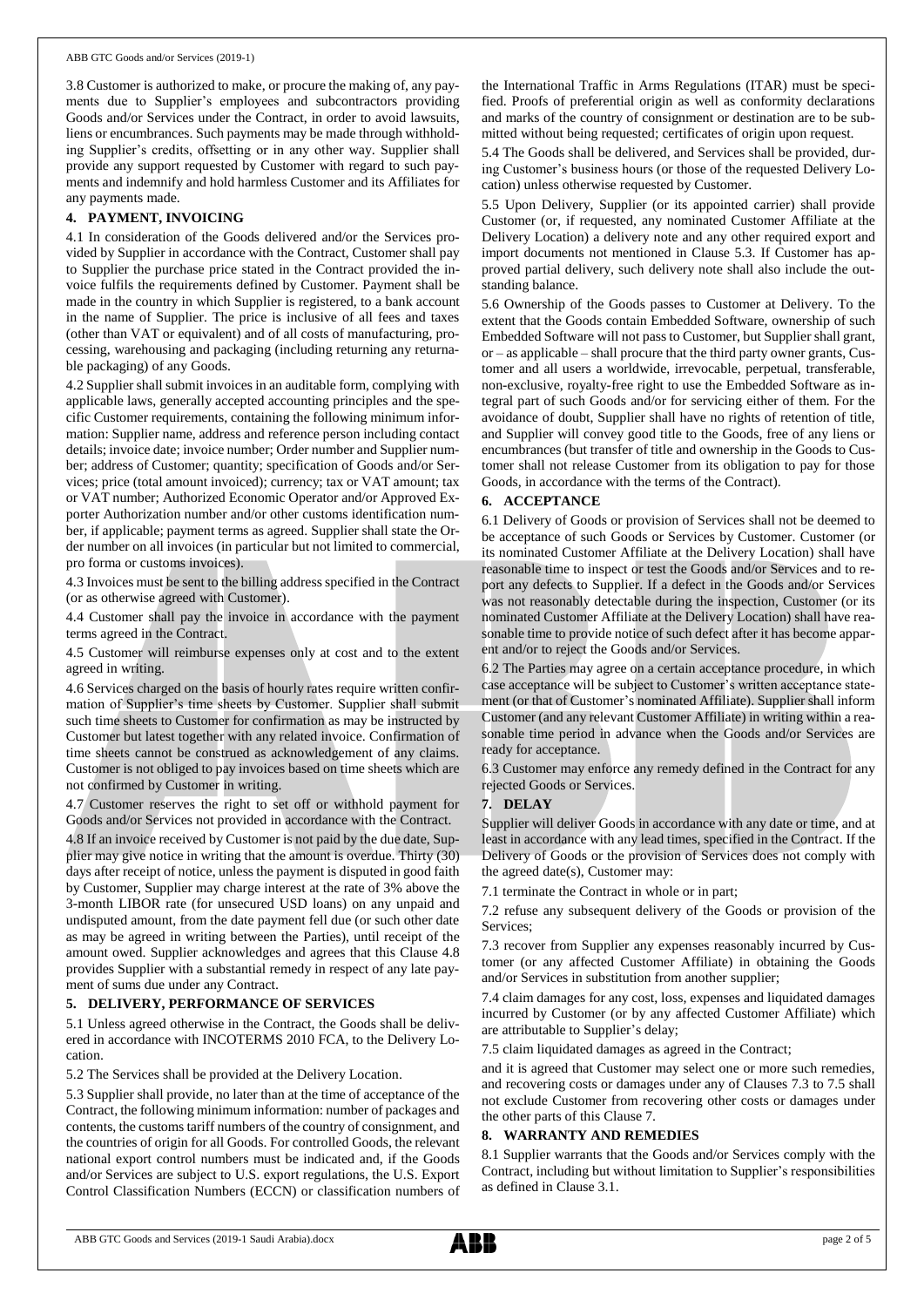3.8 Customer is authorized to make, or procure the making of, any payments due to Supplier's employees and subcontractors providing Goods and/or Services under the Contract, in order to avoid lawsuits, liens or encumbrances. Such payments may be made through withholding Supplier's credits, offsetting or in any other way. Supplier shall provide any support requested by Customer with regard to such payments and indemnify and hold harmless Customer and its Affiliates for any payments made.

## **4. PAYMENT, INVOICING**

4.1 In consideration of the Goods delivered and/or the Services provided by Supplier in accordance with the Contract, Customer shall pay to Supplier the purchase price stated in the Contract provided the invoice fulfils the requirements defined by Customer. Payment shall be made in the country in which Supplier is registered, to a bank account in the name of Supplier. The price is inclusive of all fees and taxes (other than VAT or equivalent) and of all costs of manufacturing, processing, warehousing and packaging (including returning any returnable packaging) of any Goods.

4.2 Supplier shall submit invoices in an auditable form, complying with applicable laws, generally accepted accounting principles and the specific Customer requirements, containing the following minimum information: Supplier name, address and reference person including contact details; invoice date; invoice number; Order number and Supplier number; address of Customer; quantity; specification of Goods and/or Services; price (total amount invoiced); currency; tax or VAT amount; tax or VAT number; Authorized Economic Operator and/or Approved Exporter Authorization number and/or other customs identification number, if applicable; payment terms as agreed. Supplier shall state the Order number on all invoices (in particular but not limited to commercial, pro forma or customs invoices).

4.3 Invoices must be sent to the billing address specified in the Contract (or as otherwise agreed with Customer).

4.4 Customer shall pay the invoice in accordance with the payment terms agreed in the Contract.

4.5 Customer will reimburse expenses only at cost and to the extent agreed in writing.

4.6 Services charged on the basis of hourly rates require written confirmation of Supplier's time sheets by Customer. Supplier shall submit such time sheets to Customer for confirmation as may be instructed by Customer but latest together with any related invoice. Confirmation of time sheets cannot be construed as acknowledgement of any claims. Customer is not obliged to pay invoices based on time sheets which are not confirmed by Customer in writing.

4.7 Customer reserves the right to set off or withhold payment for Goods and/or Services not provided in accordance with the Contract.

4.8 If an invoice received by Customer is not paid by the due date, Supplier may give notice in writing that the amount is overdue. Thirty (30) days after receipt of notice, unless the payment is disputed in good faith by Customer, Supplier may charge interest at the rate of 3% above the 3-month LIBOR rate (for unsecured USD loans) on any unpaid and undisputed amount, from the date payment fell due (or such other date as may be agreed in writing between the Parties), until receipt of the amount owed. Supplier acknowledges and agrees that this Clause 4.8 provides Supplier with a substantial remedy in respect of any late payment of sums due under any Contract.

## **5. DELIVERY, PERFORMANCE OF SERVICES**

5.1 Unless agreed otherwise in the Contract, the Goods shall be delivered in accordance with INCOTERMS 2010 FCA, to the Delivery Location.

5.2 The Services shall be provided at the Delivery Location.

5.3 Supplier shall provide, no later than at the time of acceptance of the Contract, the following minimum information: number of packages and contents, the customs tariff numbers of the country of consignment, and the countries of origin for all Goods. For controlled Goods, the relevant national export control numbers must be indicated and, if the Goods and/or Services are subject to U.S. export regulations, the U.S. Export Control Classification Numbers (ECCN) or classification numbers of the International Traffic in Arms Regulations (ITAR) must be specified. Proofs of preferential origin as well as conformity declarations and marks of the country of consignment or destination are to be submitted without being requested; certificates of origin upon request.

5.4 The Goods shall be delivered, and Services shall be provided, during Customer's business hours (or those of the requested Delivery Location) unless otherwise requested by Customer.

5.5 Upon Delivery, Supplier (or its appointed carrier) shall provide Customer (or, if requested, any nominated Customer Affiliate at the Delivery Location) a delivery note and any other required export and import documents not mentioned in Clause 5.3. If Customer has approved partial delivery, such delivery note shall also include the outstanding balance.

5.6 Ownership of the Goods passes to Customer at Delivery. To the extent that the Goods contain Embedded Software, ownership of such Embedded Software will not passto Customer, but Supplier shall grant, or – as applicable – shall procure that the third party owner grants, Customer and all users a worldwide, irrevocable, perpetual, transferable, non-exclusive, royalty-free right to use the Embedded Software as integral part of such Goods and/or for servicing either of them. For the avoidance of doubt, Supplier shall have no rights of retention of title, and Supplier will convey good title to the Goods, free of any liens or encumbrances (but transfer of title and ownership in the Goods to Customer shall not release Customer from its obligation to pay for those Goods, in accordance with the terms of the Contract).

## **6. ACCEPTANCE**

6.1 Delivery of Goods or provision of Services shall not be deemed to be acceptance of such Goods or Services by Customer. Customer (or its nominated Customer Affiliate at the Delivery Location) shall have reasonable time to inspect or test the Goods and/or Services and to report any defects to Supplier. If a defect in the Goods and/or Services was not reasonably detectable during the inspection, Customer (or its nominated Customer Affiliate at the Delivery Location) shall have reasonable time to provide notice of such defect after it has become apparent and/or to reject the Goods and/or Services.

6.2 The Parties may agree on a certain acceptance procedure, in which case acceptance will be subject to Customer's written acceptance statement (or that of Customer's nominated Affiliate). Supplier shall inform Customer (and any relevant Customer Affiliate) in writing within a reasonable time period in advance when the Goods and/or Services are ready for acceptance.

6.3 Customer may enforce any remedy defined in the Contract for any rejected Goods or Services.

## **7. DELAY**

Supplier will deliver Goods in accordance with any date or time, and at least in accordance with any lead times, specified in the Contract. If the Delivery of Goods or the provision of Services does not comply with the agreed date(s), Customer may:

7.1 terminate the Contract in whole or in part;

7.2 refuse any subsequent delivery of the Goods or provision of the Services;

7.3 recover from Supplier any expenses reasonably incurred by Customer (or any affected Customer Affiliate) in obtaining the Goods and/or Services in substitution from another supplier;

7.4 claim damages for any cost, loss, expenses and liquidated damages incurred by Customer (or by any affected Customer Affiliate) which are attributable to Supplier's delay;

7.5 claim liquidated damages as agreed in the Contract;

and it is agreed that Customer may select one or more such remedies, and recovering costs or damages under any of Clauses 7.3 to 7.5 shall not exclude Customer from recovering other costs or damages under the other parts of this Clause 7.

#### **8. WARRANTY AND REMEDIES**

8.1 Supplier warrants that the Goods and/or Services comply with the Contract, including but without limitation to Supplier's responsibilities as defined in Clause 3.1.

ABB GTC Goods and Services (2019-1 Saudi Arabia).docx **page 2 of 5**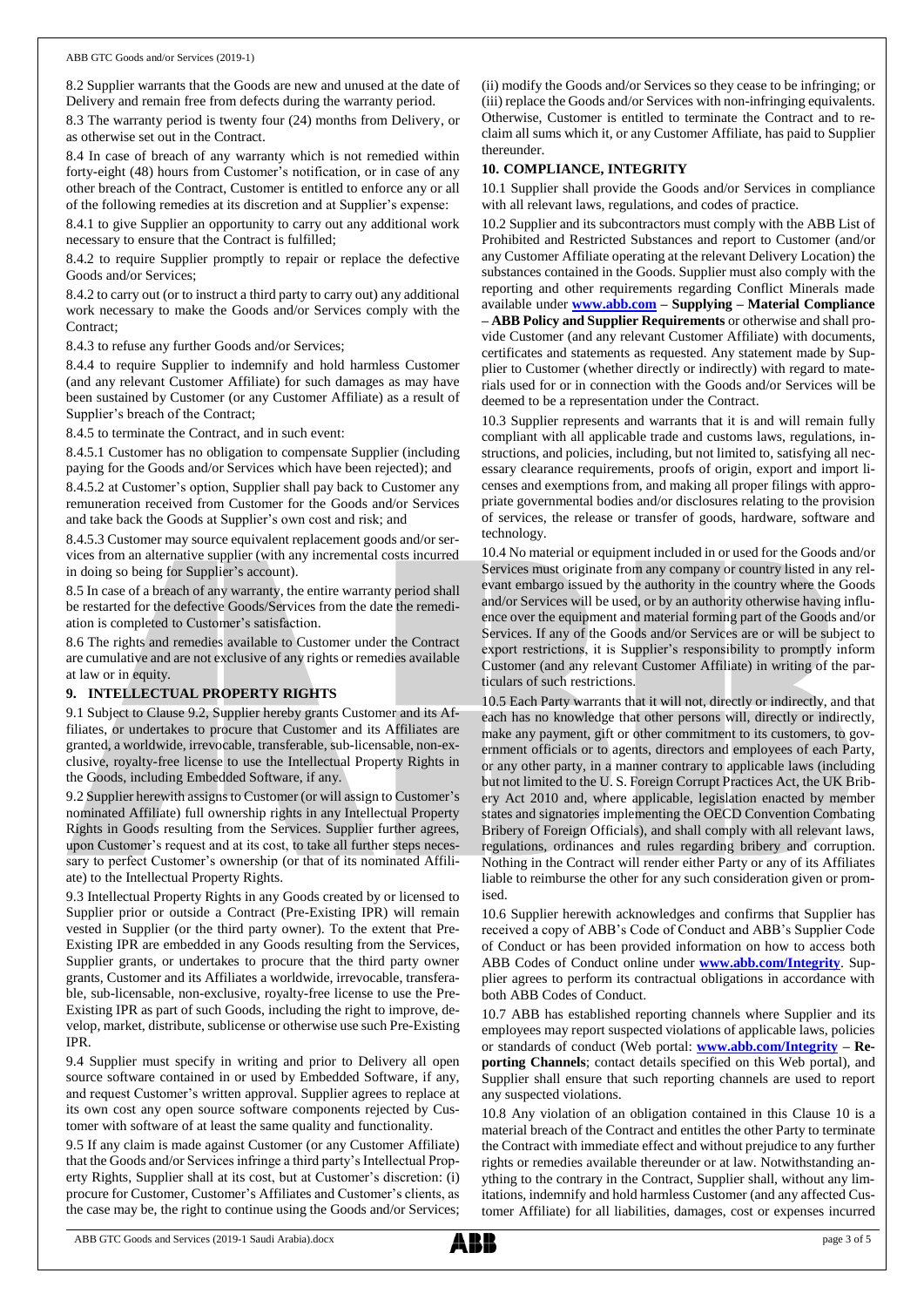8.2 Supplier warrants that the Goods are new and unused at the date of Delivery and remain free from defects during the warranty period.

8.3 The warranty period is twenty four (24) months from Delivery, or as otherwise set out in the Contract.

8.4 In case of breach of any warranty which is not remedied within forty-eight (48) hours from Customer's notification, or in case of any other breach of the Contract, Customer is entitled to enforce any or all of the following remedies at its discretion and at Supplier's expense:

8.4.1 to give Supplier an opportunity to carry out any additional work necessary to ensure that the Contract is fulfilled;

8.4.2 to require Supplier promptly to repair or replace the defective Goods and/or Services;

8.4.2 to carry out (or to instruct a third party to carry out) any additional work necessary to make the Goods and/or Services comply with the Contract;

8.4.3 to refuse any further Goods and/or Services;

8.4.4 to require Supplier to indemnify and hold harmless Customer (and any relevant Customer Affiliate) for such damages as may have been sustained by Customer (or any Customer Affiliate) as a result of Supplier's breach of the Contract;

8.4.5 to terminate the Contract, and in such event:

8.4.5.1 Customer has no obligation to compensate Supplier (including paying for the Goods and/or Services which have been rejected); and

8.4.5.2 at Customer's option, Supplier shall pay back to Customer any remuneration received from Customer for the Goods and/or Services and take back the Goods at Supplier's own cost and risk; and

8.4.5.3 Customer may source equivalent replacement goods and/or services from an alternative supplier (with any incremental costs incurred in doing so being for Supplier's account).

8.5 In case of a breach of any warranty, the entire warranty period shall be restarted for the defective Goods/Services from the date the remediation is completed to Customer's satisfaction.

8.6 The rights and remedies available to Customer under the Contract are cumulative and are not exclusive of any rights or remedies available at law or in equity.

# **9. INTELLECTUAL PROPERTY RIGHTS**

9.1 Subject to Clause 9.2, Supplier hereby grants Customer and its Affiliates, or undertakes to procure that Customer and its Affiliates are granted, a worldwide, irrevocable, transferable, sub-licensable, non-exclusive, royalty-free license to use the Intellectual Property Rights in the Goods, including Embedded Software, if any.

9.2 Supplier herewith assigns to Customer (or will assign to Customer's nominated Affiliate) full ownership rights in any Intellectual Property Rights in Goods resulting from the Services. Supplier further agrees, upon Customer's request and at its cost, to take all further steps necessary to perfect Customer's ownership (or that of its nominated Affiliate) to the Intellectual Property Rights.

9.3 Intellectual Property Rights in any Goods created by or licensed to Supplier prior or outside a Contract (Pre-Existing IPR) will remain vested in Supplier (or the third party owner). To the extent that Pre-Existing IPR are embedded in any Goods resulting from the Services, Supplier grants, or undertakes to procure that the third party owner grants, Customer and its Affiliates a worldwide, irrevocable, transferable, sub-licensable, non-exclusive, royalty-free license to use the Pre-Existing IPR as part of such Goods, including the right to improve, develop, market, distribute, sublicense or otherwise use such Pre-Existing IPR.

9.4 Supplier must specify in writing and prior to Delivery all open source software contained in or used by Embedded Software, if any, and request Customer's written approval. Supplier agrees to replace at its own cost any open source software components rejected by Customer with software of at least the same quality and functionality.

9.5 If any claim is made against Customer (or any Customer Affiliate) that the Goods and/or Services infringe a third party's Intellectual Property Rights, Supplier shall at its cost, but at Customer's discretion: (i) procure for Customer, Customer's Affiliates and Customer's clients, as the case may be, the right to continue using the Goods and/or Services;

(ii) modify the Goods and/or Services so they cease to be infringing; or (iii) replace the Goods and/or Services with non-infringing equivalents. Otherwise, Customer is entitled to terminate the Contract and to reclaim all sums which it, or any Customer Affiliate, has paid to Supplier thereunder.

#### **10. COMPLIANCE, INTEGRITY**

10.1 Supplier shall provide the Goods and/or Services in compliance with all relevant laws, regulations, and codes of practice.

10.2 Supplier and its subcontractors must comply with the ABB List of Prohibited and Restricted Substances and report to Customer (and/or any Customer Affiliate operating at the relevant Delivery Location) the substances contained in the Goods. Supplier must also comply with the reporting and other requirements regarding Conflict Minerals made available under **[www.abb.com](http://www.abb.com/) – Supplying – Material Compliance – ABB Policy and Supplier Requirements** or otherwise and shall provide Customer (and any relevant Customer Affiliate) with documents, certificates and statements as requested. Any statement made by Supplier to Customer (whether directly or indirectly) with regard to materials used for or in connection with the Goods and/or Services will be deemed to be a representation under the Contract.

10.3 Supplier represents and warrants that it is and will remain fully compliant with all applicable trade and customs laws, regulations, instructions, and policies, including, but not limited to, satisfying all necessary clearance requirements, proofs of origin, export and import licenses and exemptions from, and making all proper filings with appropriate governmental bodies and/or disclosures relating to the provision of services, the release or transfer of goods, hardware, software and technology.

10.4 No material or equipment included in or used for the Goods and/or Services must originate from any company or country listed in any relevant embargo issued by the authority in the country where the Goods and/or Services will be used, or by an authority otherwise having influence over the equipment and material forming part of the Goods and/or Services. If any of the Goods and/or Services are or will be subject to export restrictions, it is Supplier's responsibility to promptly inform Customer (and any relevant Customer Affiliate) in writing of the particulars of such restrictions.

10.5 Each Party warrants that it will not, directly or indirectly, and that each has no knowledge that other persons will, directly or indirectly, make any payment, gift or other commitment to its customers, to government officials or to agents, directors and employees of each Party, or any other party, in a manner contrary to applicable laws (including but not limited to the U. S. Foreign Corrupt Practices Act, the UK Bribery Act 2010 and, where applicable, legislation enacted by member states and signatories implementing the OECD Convention Combating Bribery of Foreign Officials), and shall comply with all relevant laws, regulations, ordinances and rules regarding bribery and corruption. Nothing in the Contract will render either Party or any of its Affiliates liable to reimburse the other for any such consideration given or promised.

10.6 Supplier herewith acknowledges and confirms that Supplier has received a copy of ABB's Code of Conduct and ABB's Supplier Code of Conduct or has been provided information on how to access both ABB Codes of Conduct online under **[www.abb.com/Integrity](http://www.abb.com/Integrity)**. Supplier agrees to perform its contractual obligations in accordance with both ABB Codes of Conduct.

10.7 ABB has established reporting channels where Supplier and its employees may report suspected violations of applicable laws, policies or standards of conduct (Web portal: **[www.abb.com/Integrity](http://www.abb.com/Integrity) – Reporting Channels**; contact details specified on this Web portal), and Supplier shall ensure that such reporting channels are used to report any suspected violations.

10.8 Any violation of an obligation contained in this Clause 10 is a material breach of the Contract and entitles the other Party to terminate the Contract with immediate effect and without prejudice to any further rights or remedies available thereunder or at law. Notwithstanding anything to the contrary in the Contract, Supplier shall, without any limitations, indemnify and hold harmless Customer (and any affected Customer Affiliate) for all liabilities, damages, cost or expenses incurred

ABB GTC Goods and Services (2019-1 Saudi Arabia).docx page 3 of 5

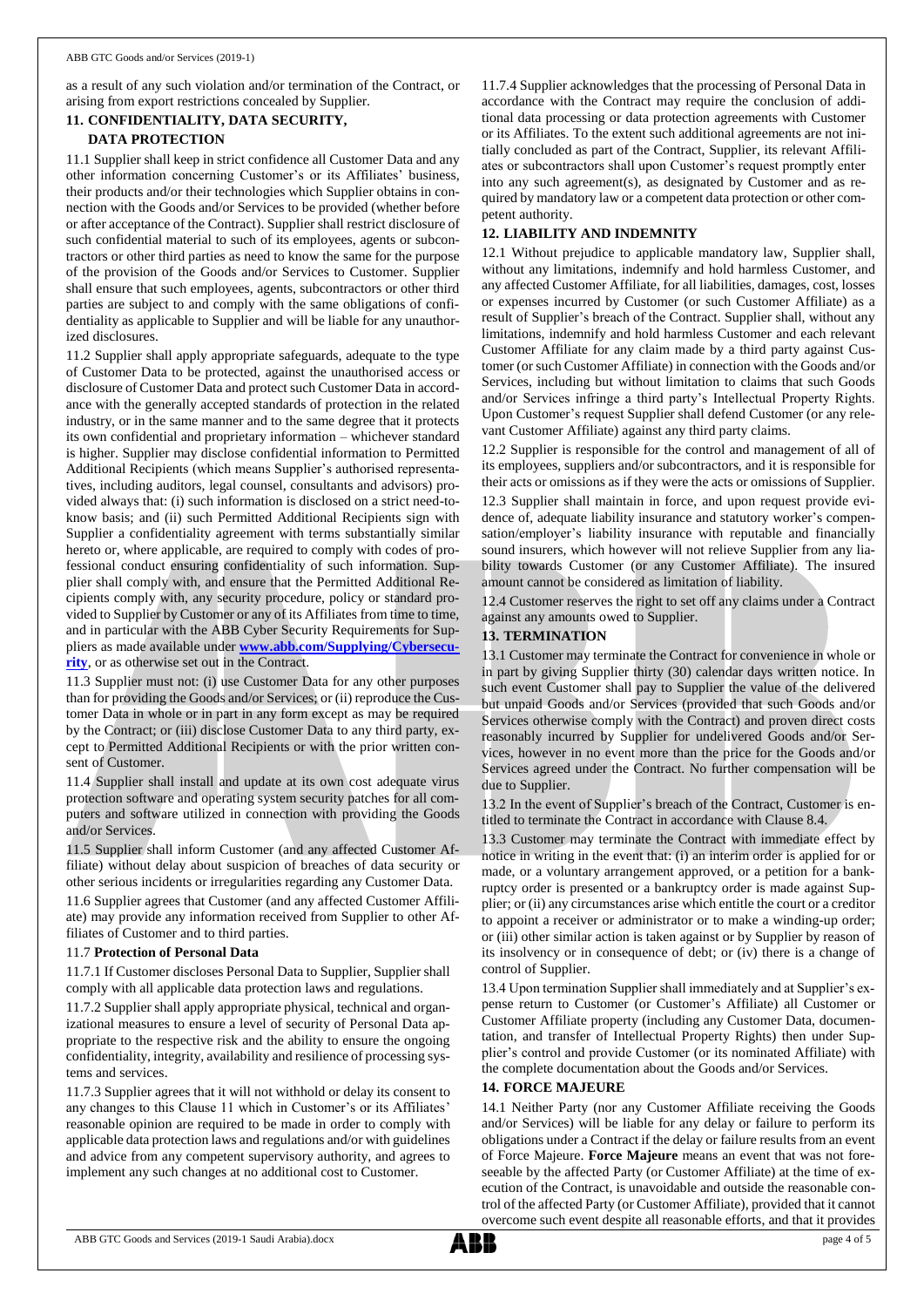as a result of any such violation and/or termination of the Contract, or arising from export restrictions concealed by Supplier.

# **11. CONFIDENTIALITY, DATA SECURITY, DATA PROTECTION**

11.1 Supplier shall keep in strict confidence all Customer Data and any other information concerning Customer's or its Affiliates' business, their products and/or their technologies which Supplier obtains in connection with the Goods and/or Services to be provided (whether before or after acceptance of the Contract). Supplier shall restrict disclosure of such confidential material to such of its employees, agents or subcontractors or other third parties as need to know the same for the purpose of the provision of the Goods and/or Services to Customer. Supplier shall ensure that such employees, agents, subcontractors or other third parties are subject to and comply with the same obligations of confidentiality as applicable to Supplier and will be liable for any unauthorized disclosures.

11.2 Supplier shall apply appropriate safeguards, adequate to the type of Customer Data to be protected, against the unauthorised access or disclosure of Customer Data and protect such Customer Data in accordance with the generally accepted standards of protection in the related industry, or in the same manner and to the same degree that it protects its own confidential and proprietary information – whichever standard is higher. Supplier may disclose confidential information to Permitted Additional Recipients (which means Supplier's authorised representatives, including auditors, legal counsel, consultants and advisors) provided always that: (i) such information is disclosed on a strict need-toknow basis; and (ii) such Permitted Additional Recipients sign with Supplier a confidentiality agreement with terms substantially similar hereto or, where applicable, are required to comply with codes of professional conduct ensuring confidentiality of such information. Supplier shall comply with, and ensure that the Permitted Additional Recipients comply with, any security procedure, policy or standard provided to Supplier by Customer or any of its Affiliates from time to time, and in particular with the ABB Cyber Security Requirements for Suppliers as made available under **[www.abb.com/Supplying/Cybersecu](http://www.abb.com/Supplying/Cybersecurity)[rity](http://www.abb.com/Supplying/Cybersecurity)**, or as otherwise set out in the Contract.

11.3 Supplier must not: (i) use Customer Data for any other purposes than for providing the Goods and/or Services; or (ii) reproduce the Customer Data in whole or in part in any form except as may be required by the Contract; or (iii) disclose Customer Data to any third party, except to Permitted Additional Recipients or with the prior written consent of Customer.

11.4 Supplier shall install and update at its own cost adequate virus protection software and operating system security patches for all computers and software utilized in connection with providing the Goods and/or Services.

11.5 Supplier shall inform Customer (and any affected Customer Affiliate) without delay about suspicion of breaches of data security or other serious incidents or irregularities regarding any Customer Data.

11.6 Supplier agrees that Customer (and any affected Customer Affiliate) may provide any information received from Supplier to other Affiliates of Customer and to third parties.

## 11.7 **Protection of Personal Data**

11.7.1 If Customer discloses Personal Data to Supplier, Supplier shall comply with all applicable data protection laws and regulations.

11.7.2 Supplier shall apply appropriate physical, technical and organizational measures to ensure a level of security of Personal Data appropriate to the respective risk and the ability to ensure the ongoing confidentiality, integrity, availability and resilience of processing systems and services.

11.7.3 Supplier agrees that it will not withhold or delay its consent to any changes to this Clause 11 which in Customer's or its Affiliates' reasonable opinion are required to be made in order to comply with applicable data protection laws and regulations and/or with guidelines and advice from any competent supervisory authority, and agrees to implement any such changes at no additional cost to Customer.

11.7.4 Supplier acknowledges that the processing of Personal Data in accordance with the Contract may require the conclusion of additional data processing or data protection agreements with Customer or its Affiliates. To the extent such additional agreements are not initially concluded as part of the Contract, Supplier, its relevant Affiliates or subcontractors shall upon Customer's request promptly enter into any such agreement(s), as designated by Customer and as required by mandatory law or a competent data protection or other competent authority.

# **12. LIABILITY AND INDEMNITY**

12.1 Without prejudice to applicable mandatory law, Supplier shall, without any limitations, indemnify and hold harmless Customer, and any affected Customer Affiliate, for all liabilities, damages, cost, losses or expenses incurred by Customer (or such Customer Affiliate) as a result of Supplier's breach of the Contract. Supplier shall, without any limitations, indemnify and hold harmless Customer and each relevant Customer Affiliate for any claim made by a third party against Customer (or such Customer Affiliate) in connection with the Goods and/or Services, including but without limitation to claims that such Goods and/or Services infringe a third party's Intellectual Property Rights. Upon Customer's request Supplier shall defend Customer (or any relevant Customer Affiliate) against any third party claims.

12.2 Supplier is responsible for the control and management of all of its employees, suppliers and/or subcontractors, and it is responsible for their acts or omissions as if they were the acts or omissions of Supplier.

12.3 Supplier shall maintain in force, and upon request provide evidence of, adequate liability insurance and statutory worker's compensation/employer's liability insurance with reputable and financially sound insurers, which however will not relieve Supplier from any liability towards Customer (or any Customer Affiliate). The insured amount cannot be considered as limitation of liability.

12.4 Customer reserves the right to set off any claims under a Contract against any amounts owed to Supplier.

## **13. TERMINATION**

13.1 Customer may terminate the Contract for convenience in whole or in part by giving Supplier thirty (30) calendar days written notice. In such event Customer shall pay to Supplier the value of the delivered but unpaid Goods and/or Services (provided that such Goods and/or Services otherwise comply with the Contract) and proven direct costs reasonably incurred by Supplier for undelivered Goods and/or Services, however in no event more than the price for the Goods and/or Services agreed under the Contract. No further compensation will be due to Supplier.

13.2 In the event of Supplier's breach of the Contract, Customer is entitled to terminate the Contract in accordance with Clause 8.4.

13.3 Customer may terminate the Contract with immediate effect by notice in writing in the event that: (i) an interim order is applied for or made, or a voluntary arrangement approved, or a petition for a bankruptcy order is presented or a bankruptcy order is made against Supplier; or (ii) any circumstances arise which entitle the court or a creditor to appoint a receiver or administrator or to make a winding-up order; or (iii) other similar action is taken against or by Supplier by reason of its insolvency or in consequence of debt; or (iv) there is a change of control of Supplier.

13.4 Upon termination Supplier shall immediately and at Supplier's expense return to Customer (or Customer's Affiliate) all Customer or Customer Affiliate property (including any Customer Data, documentation, and transfer of Intellectual Property Rights) then under Supplier's control and provide Customer (or its nominated Affiliate) with the complete documentation about the Goods and/or Services.

## **14. FORCE MAJEURE**

14.1 Neither Party (nor any Customer Affiliate receiving the Goods and/or Services) will be liable for any delay or failure to perform its obligations under a Contract if the delay or failure results from an event of Force Majeure. **Force Majeure** means an event that was not foreseeable by the affected Party (or Customer Affiliate) at the time of execution of the Contract, is unavoidable and outside the reasonable control of the affected Party (or Customer Affiliate), provided that it cannot overcome such event despite all reasonable efforts, and that it provides